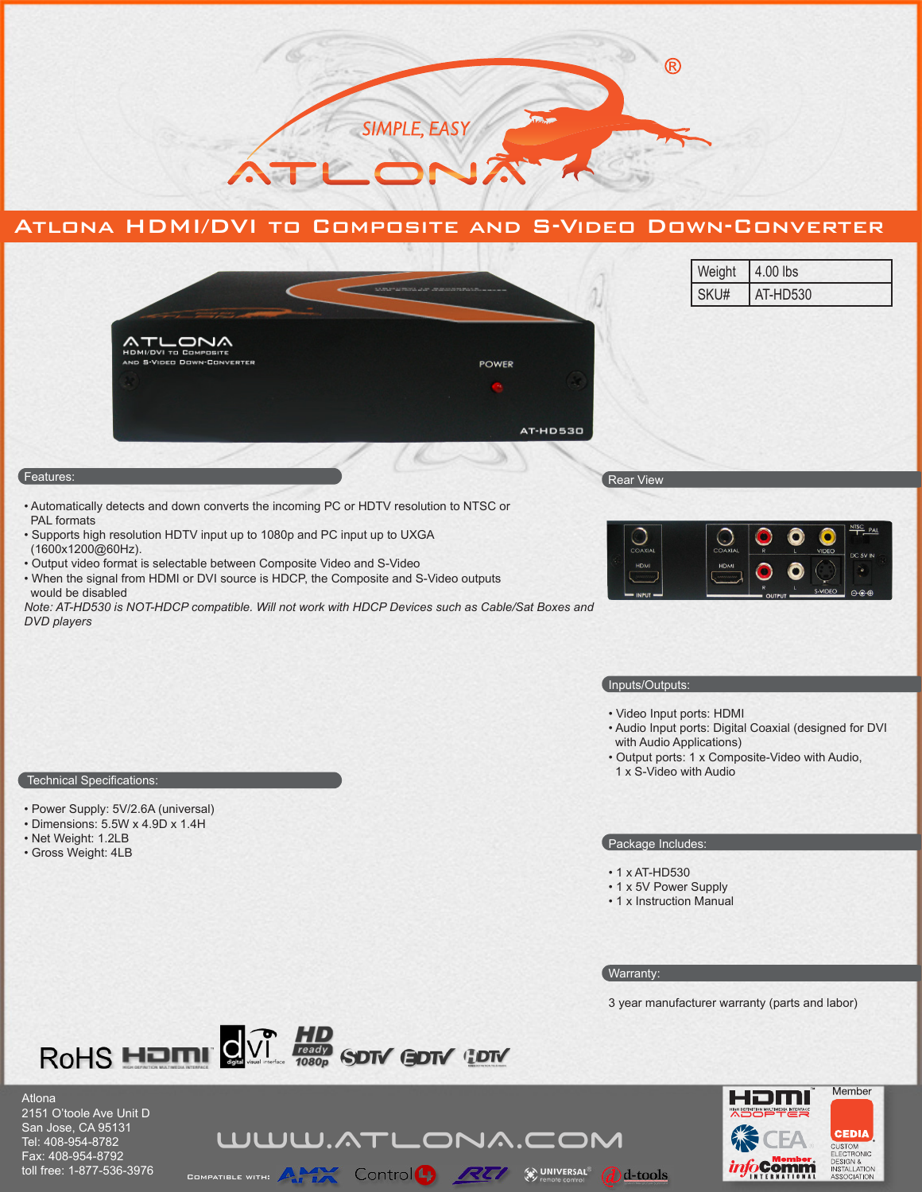

# Atlona HDMI/DVI to Composite and S-Video Down-Converter



- Automatically detects and down converts the incoming PC or HDTV resolution to NTSC or PAL formats
- Supports high resolution HDTV input up to 1080p and PC input up to UXGA (1600x1200@60Hz).
- Output video format is selectable between Composite Video and S-Video
- When the signal from HDMI or DVI source is HDCP, the Composite and S-Video outputs would be disabled

*Note: AT-HD530 is NOT-HDCP compatible. Will not work with HDCP Devices such as Cable/Sat Boxes and DVD players*



#### Inputs/Outputs:

- Video Input ports: HDMI
- Audio Input ports: Digital Coaxial (designed for DVI with Audio Applications)
- Output ports: 1 x Composite-Video with Audio, 1 x S-Video with Audio

### Technical Specifications:

- Power Supply: 5V/2.6A (universal)
- Dimensions: 5.5W x 4.9D x 1.4H
- Net Weight: 1.2LB
- Gross Weight: 4LB

## Package Includes:

- 1 x AT-HD530
- 1 x 5V Power Supply
- 1 x Instruction Manual

#### Warranty:

 $\bigcirc$  d-tools

3 year manufacturer warranty (parts and labor)



WWW.ATLONA.COM

CONTO CONTROL CONTROL CONTRACT CONTRACT CONTROL

Atlona 2151 O'toole Ave Unit D San Jose, CA 95131 Tel: 408-954-8782 Fax: 408-954-8792 toll free: 1-877-536-3976